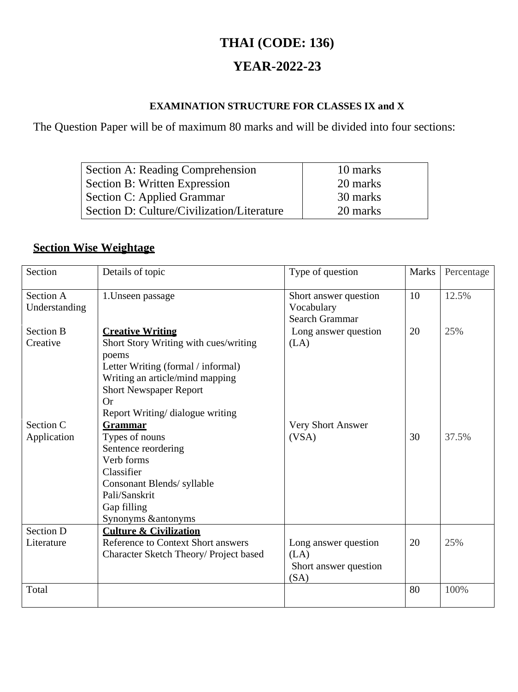# **THAI (CODE: 136)**

### **YEAR-2022-23**

#### **EXAMINATION STRUCTURE FOR CLASSES IX and X**

The Question Paper will be of maximum 80 marks and will be divided into four sections:

| Section A: Reading Comprehension           | 10 marks |
|--------------------------------------------|----------|
| Section B: Written Expression              | 20 marks |
| Section C: Applied Grammar                 | 30 marks |
| Section D: Culture/Civilization/Literature | 20 marks |

### **Section Wise Weightage**

| Section                        | Details of topic                                                                                                                                                                                                                     | Type of question                                              | <b>Marks</b> | Percentage |
|--------------------------------|--------------------------------------------------------------------------------------------------------------------------------------------------------------------------------------------------------------------------------------|---------------------------------------------------------------|--------------|------------|
| Section A<br>Understanding     | 1. Unseen passage                                                                                                                                                                                                                    | Short answer question<br>Vocabulary<br><b>Search Grammar</b>  | 10           | 12.5%      |
| <b>Section B</b><br>Creative   | <b>Creative Writing</b><br>Short Story Writing with cues/writing<br>poems<br>Letter Writing (formal / informal)<br>Writing an article/mind mapping<br><b>Short Newspaper Report</b><br><b>Or</b><br>Report Writing/ dialogue writing | Long answer question<br>(LA)                                  | 20           | 25%        |
| Section C<br>Application       | <b>Grammar</b><br>Types of nouns<br>Sentence reordering<br>Verb forms<br>Classifier<br>Consonant Blends/ syllable<br>Pali/Sanskrit<br>Gap filling<br>Synonyms & antonyms                                                             | Very Short Answer<br>(VSA)                                    | 30           | 37.5%      |
| <b>Section D</b><br>Literature | <b>Culture &amp; Civilization</b><br><b>Reference to Context Short answers</b><br>Character Sketch Theory/ Project based                                                                                                             | Long answer question<br>(LA)<br>Short answer question<br>(SA) | 20           | 25%        |
| Total                          |                                                                                                                                                                                                                                      |                                                               | 80           | 100%       |